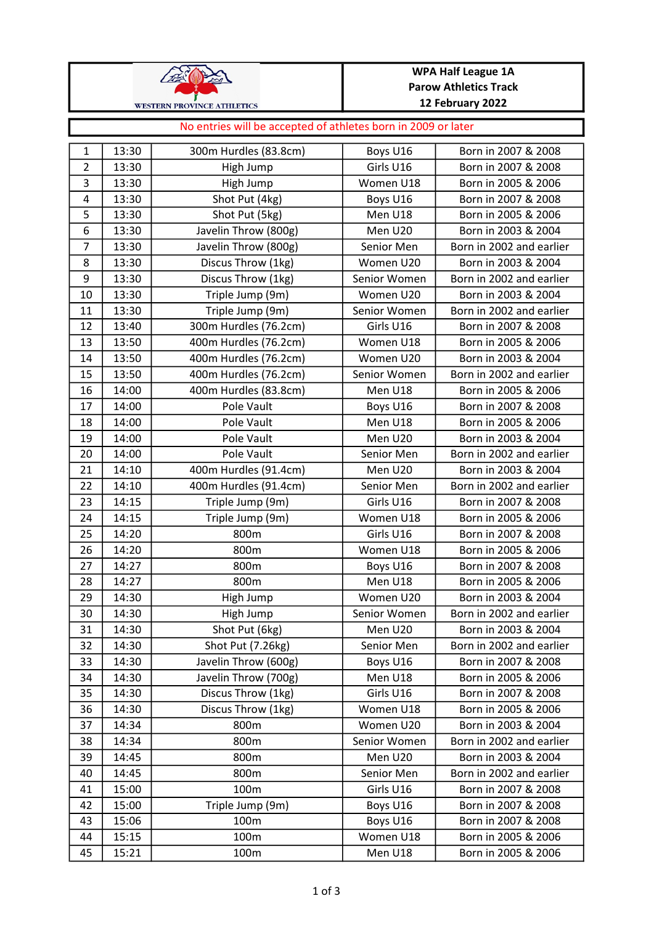| <b>WESTERN PROVINCE ATHLETICS</b> |
|-----------------------------------|

## WPA Half League 1A Parow Athletics Track 12 February 2022

## 1 | 13:30 | 300m Hurdles (83.8cm) | Boys U16 | Born in 2007 & 2008 2 | 13:30 | High Jump | Girls U16 | Born in 2007 & 2008 3 13:30 High Jump Women U18 Born in 2005 & 2006 4 13:30 Shot Put (4kg) Boys U16 Born in 2007 & 2008 5 | 13:30 | Shot Put (5kg) | Men U18 | Born in 2005 & 2006 6 13:30 Javelin Throw (800g) Men U20 Born in 2003 & 2004 7 | 13:30 | Javelin Throw (800g) | Senior Men | Born in 2002 and earlier 8 | 13:30 | Discus Throw (1kg) | Women U20 | Born in 2003 & 2004 9 | 13:30 | Discus Throw (1kg) | Senior Women | Born in 2002 and earlier 10 | 13:30 | Triple Jump (9m) | Women U20 | Born in 2003 & 2004 11 | 13:30 | Triple Jump (9m) | Senior Women | Born in 2002 and earlier 12 13:40 300m Hurdles (76.2cm) Girls U16 Born in 2007 & 2008 13 | 13:50 | 400m Hurdles (76.2cm) | Women U18 | Born in 2005 & 2006 14 | 13:50 | 400m Hurdles (76.2cm) Women U20 | Born in 2003 & 2004 15 | 13:50 | 400m Hurdles (76.2cm) | Senior Women | Born in 2002 and earlier 16 | 14:00 | 400m Hurdles (83.8cm) Men U18 | Born in 2005 & 2006 17 14:00 Pole Vault Boys U16 Born in 2007 & 2008 18 | 14:00 | Pole Vault | Men U18 | Born in 2005 & 2006 19 14:00 Pole Vault Men U20 Born in 2003 & 2004 20 14:00 Pole Vault Senior Men Born in 2002 and earlier 21 | 14:10 | 400m Hurdles (91.4cm) Men U20 | Born in 2003 & 2004 22 | 14:10 | 400m Hurdles (91.4cm) | Senior Men | Born in 2002 and earlier 23 14:15 Triple Jump (9m) Girls U16 Born in 2007 & 2008 24 | 14:15 | Triple Jump (9m) Nomen U18 | Born in 2005 & 2006 25 14:20 800m Girls U16 Born in 2007 & 2008 26 14:20 800m Women U18 Born in 2005 & 2006 27 | 14:27 | 27 | 800m | Boys U16 | Born in 2007 & 2008 28 | 14:27 | 800m 800m | Men U18 | Born in 2005 & 2006 29 14:30 High Jump Women U20 Born in 2003 & 2004 30 | 14:30 | High Jump | Senior Women | Born in 2002 and earlier 31 14:30 Shot Put (6kg) Men U20 Born in 2003 & 2004 32 | 14:30 | Shot Put (7.26kg) | Senior Men | Born in 2002 and earlier 33 | 14:30 | Javelin Throw (600g) | Boys U16 | Born in 2007 & 2008 34 | 14:30 | Javelin Throw (700g) Men U18 | Born in 2005 & 2006 35 | 14:30 | Discus Throw (1kg) | Girls U16 | Born in 2007 & 2008 36 | 14:30 | Discus Throw (1kg) | Women U18 | Born in 2005 & 2006 37 14:34 800m Women U20 Born in 2003 & 2004 38 14:34 800m Senior Women Born in 2002 and earlier 39 14:45 800m Men U20 Born in 2003 & 2004 40 14:45 800m Senior Men Born in 2002 and earlier 41 15:00 100m Girls U16 Born in 2007 & 2008 42 15:00 Triple Jump (9m) Boys U16 Born in 2007 & 2008 43 15:06 100m Boys U16 Born in 2007 & 2008 44 15:15 100m Women U18 Born in 2005 & 2006 No entries will be accepted of athletes born in 2009 or later

45 15:21 100m Men U18 Born in 2005 & 2006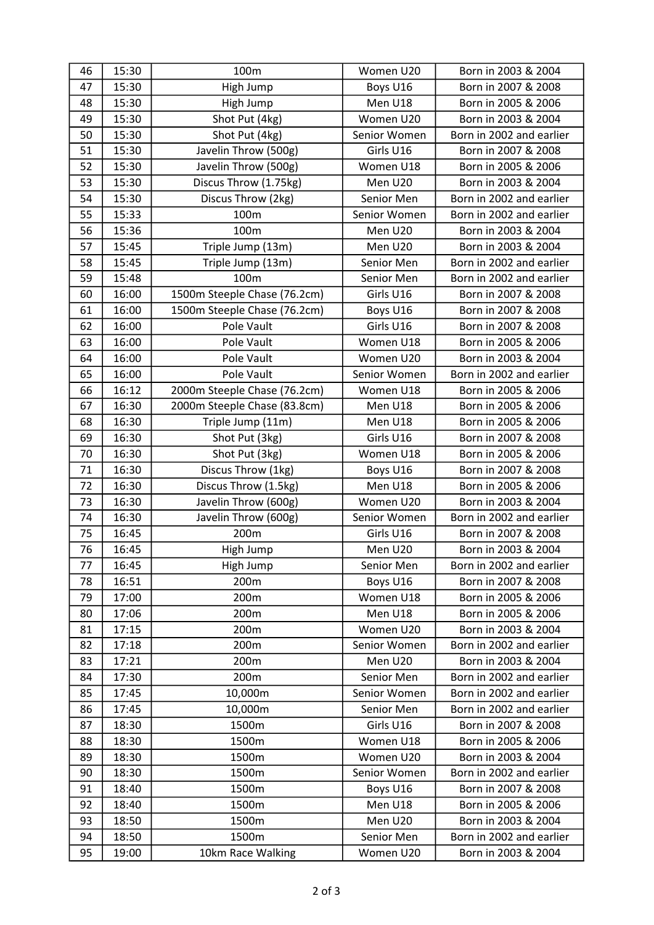| 46 | 15:30 | 100m                         | Women U20    | Born in 2003 & 2004      |
|----|-------|------------------------------|--------------|--------------------------|
| 47 | 15:30 | High Jump                    | Boys U16     | Born in 2007 & 2008      |
| 48 | 15:30 | High Jump                    | Men U18      | Born in 2005 & 2006      |
| 49 | 15:30 | Shot Put (4kg)               | Women U20    | Born in 2003 & 2004      |
| 50 | 15:30 | Shot Put (4kg)               | Senior Women | Born in 2002 and earlier |
| 51 | 15:30 | Javelin Throw (500g)         | Girls U16    | Born in 2007 & 2008      |
| 52 | 15:30 | Javelin Throw (500g)         | Women U18    | Born in 2005 & 2006      |
| 53 | 15:30 | Discus Throw (1.75kg)        | Men U20      | Born in 2003 & 2004      |
| 54 | 15:30 | Discus Throw (2kg)           | Senior Men   | Born in 2002 and earlier |
| 55 | 15:33 | 100m                         | Senior Women | Born in 2002 and earlier |
| 56 | 15:36 | 100m                         | Men U20      | Born in 2003 & 2004      |
| 57 | 15:45 | Triple Jump (13m)            | Men U20      | Born in 2003 & 2004      |
| 58 | 15:45 | Triple Jump (13m)            | Senior Men   | Born in 2002 and earlier |
| 59 | 15:48 | 100m                         | Senior Men   | Born in 2002 and earlier |
| 60 | 16:00 | 1500m Steeple Chase (76.2cm) | Girls U16    | Born in 2007 & 2008      |
| 61 | 16:00 | 1500m Steeple Chase (76.2cm) | Boys U16     | Born in 2007 & 2008      |
| 62 | 16:00 | Pole Vault                   | Girls U16    | Born in 2007 & 2008      |
| 63 | 16:00 | Pole Vault                   | Women U18    | Born in 2005 & 2006      |
| 64 | 16:00 | Pole Vault                   | Women U20    | Born in 2003 & 2004      |
| 65 | 16:00 | Pole Vault                   | Senior Women | Born in 2002 and earlier |
| 66 | 16:12 | 2000m Steeple Chase (76.2cm) | Women U18    | Born in 2005 & 2006      |
| 67 | 16:30 | 2000m Steeple Chase (83.8cm) | Men U18      | Born in 2005 & 2006      |
| 68 | 16:30 | Triple Jump (11m)            | Men U18      | Born in 2005 & 2006      |
| 69 | 16:30 | Shot Put (3kg)               | Girls U16    | Born in 2007 & 2008      |
| 70 | 16:30 | Shot Put (3kg)               | Women U18    | Born in 2005 & 2006      |
| 71 | 16:30 | Discus Throw (1kg)           | Boys U16     | Born in 2007 & 2008      |
| 72 | 16:30 | Discus Throw (1.5kg)         | Men U18      | Born in 2005 & 2006      |
| 73 | 16:30 | Javelin Throw (600g)         | Women U20    | Born in 2003 & 2004      |
| 74 | 16:30 | Javelin Throw (600g)         | Senior Women | Born in 2002 and earlier |
| 75 | 16:45 | 200m                         | Girls U16    | Born in 2007 & 2008      |
| 76 | 16:45 | High Jump                    | Men U20      | Born in 2003 & 2004      |
| 77 | 16:45 | High Jump                    | Senior Men   | Born in 2002 and earlier |
| 78 | 16:51 | 200m                         | Boys U16     | Born in 2007 & 2008      |
| 79 | 17:00 | 200m                         | Women U18    | Born in 2005 & 2006      |
| 80 | 17:06 | 200m                         | Men U18      | Born in 2005 & 2006      |
| 81 | 17:15 | 200m                         | Women U20    | Born in 2003 & 2004      |
| 82 | 17:18 | 200m                         | Senior Women | Born in 2002 and earlier |
| 83 | 17:21 | 200m                         | Men U20      | Born in 2003 & 2004      |
| 84 | 17:30 | 200m                         | Senior Men   | Born in 2002 and earlier |
| 85 | 17:45 | 10,000m                      | Senior Women | Born in 2002 and earlier |
| 86 | 17:45 | 10,000m                      | Senior Men   | Born in 2002 and earlier |
| 87 | 18:30 | 1500m                        | Girls U16    | Born in 2007 & 2008      |
| 88 | 18:30 | 1500m                        | Women U18    | Born in 2005 & 2006      |
| 89 | 18:30 | 1500m                        | Women U20    | Born in 2003 & 2004      |
| 90 | 18:30 | 1500m                        | Senior Women | Born in 2002 and earlier |
| 91 | 18:40 | 1500m                        | Boys U16     | Born in 2007 & 2008      |
| 92 | 18:40 | 1500m                        | Men U18      | Born in 2005 & 2006      |
| 93 | 18:50 | 1500m                        | Men U20      | Born in 2003 & 2004      |
| 94 | 18:50 | 1500m                        | Senior Men   | Born in 2002 and earlier |
| 95 | 19:00 | 10km Race Walking            | Women U20    | Born in 2003 & 2004      |